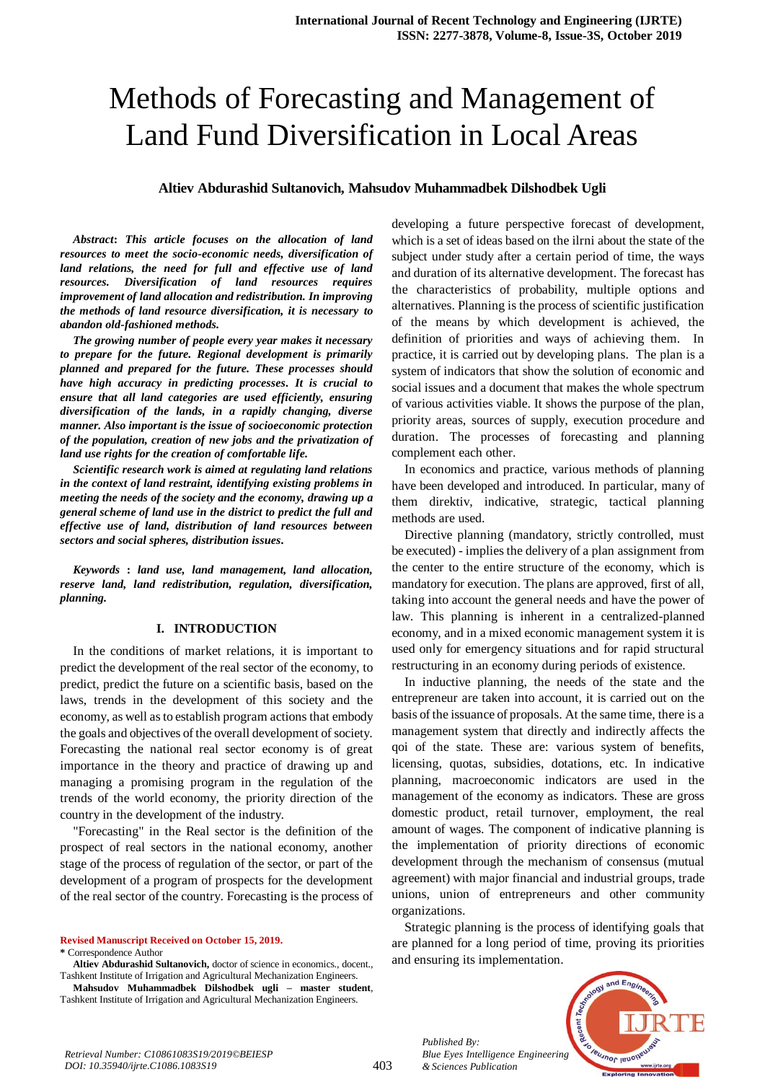# Methods of Forecasting and Management of Land Fund Diversification in Local Areas

## **Altiev Abdurashid Sultanovich, Mahsudov Muhammadbek Dilshodbek Ugli**

*Abstract***:** *This article focuses on the allocation of land resources to meet the socio-economic needs, diversification of land relations, the need for full and effective use of land resources. Diversification of land resources requires improvement of land allocation and redistribution. In improving the methods of land resource diversification, it is necessary to abandon old-fashioned methods.*

*The growing number of people every year makes it necessary to prepare for the future. Regional development is primarily planned and prepared for the future. These processes should have high accuracy in predicting processes. It is crucial to ensure that all land categories are used efficiently, ensuring diversification of the lands, in a rapidly changing, diverse manner. Also important is the issue of socioeconomic protection of the population, creation of new jobs and the privatization of land use rights for the creation of comfortable life.*

*Scientific research work is aimed at regulating land relations in the context of land restraint, identifying existing problems in meeting the needs of the society and the economy, drawing up a general scheme of land use in the district to predict the full and effective use of land, distribution of land resources between sectors and social spheres, distribution issues.*

*Keywords* **:** *land use, land management, land allocation, reserve land, land redistribution, regulation, diversification, planning.* 

#### **I. INTRODUCTION**

In the conditions of market relations, it is important to predict the development of the real sector of the economy, to predict, predict the future on a scientific basis, based on the laws, trends in the development of this society and the economy, as well as to establish program actions that embody the goals and objectives of the overall development of society. Forecasting the national real sector economy is of great importance in the theory and practice of drawing up and managing a promising program in the regulation of the trends of the world economy, the priority direction of the country in the development of the industry.

"Forecasting" in the Real sector is the definition of the prospect of real sectors in the national economy, another stage of the process of regulation of the sector, or part of the development of a program of prospects for the development of the real sector of the country. Forecasting is the process of

**Revised Manuscript Received on October 15, 2019.**

**\*** Correspondence Author

**Altiev Abdurashid Sultanovich,** doctor of science in economics., docent., Tashkent Institute of Irrigation and Agricultural Mechanization Engineers.

**Mahsudov Muhammadbek Dilshodbek ugli – master student**, Tashkent Institute of Irrigation and Agricultural Mechanization Engineers.

developing a future perspective forecast of development, which is a set of ideas based on the ilrni about the state of the subject under study after a certain period of time, the ways and duration of its alternative development. The forecast has the characteristics of probability, multiple options and alternatives. Planning is the process of scientific justification of the means by which development is achieved, the definition of priorities and ways of achieving them. In practice, it is carried out by developing plans. The plan is a system of indicators that show the solution of economic and social issues and a document that makes the whole spectrum of various activities viable. It shows the purpose of the plan, priority areas, sources of supply, execution procedure and duration. The processes of forecasting and planning complement each other.

In economics and practice, various methods of planning have been developed and introduced. In particular, many of them direktiv, indicative, strategic, tactical planning methods are used.

Directive planning (mandatory, strictly controlled, must be executed) - implies the delivery of a plan assignment from the center to the entire structure of the economy, which is mandatory for execution. The plans are approved, first of all, taking into account the general needs and have the power of law. This planning is inherent in a centralized-planned economy, and in a mixed economic management system it is used only for emergency situations and for rapid structural restructuring in an economy during periods of existence.

In inductive planning, the needs of the state and the entrepreneur are taken into account, it is carried out on the basis of the issuance of proposals. At the same time, there is a management system that directly and indirectly affects the qoi of the state. These are: various system of benefits, licensing, quotas, subsidies, dotations, etc. In indicative planning, macroeconomic indicators are used in the management of the economy as indicators. These are gross domestic product, retail turnover, employment, the real amount of wages. The component of indicative planning is the implementation of priority directions of economic development through the mechanism of consensus (mutual agreement) with major financial and industrial groups, trade unions, union of entrepreneurs and other community organizations.

Strategic planning is the process of identifying goals that are planned for a long period of time, proving its priorities and ensuring its implementation.



*Published By:*

*& Sciences Publication*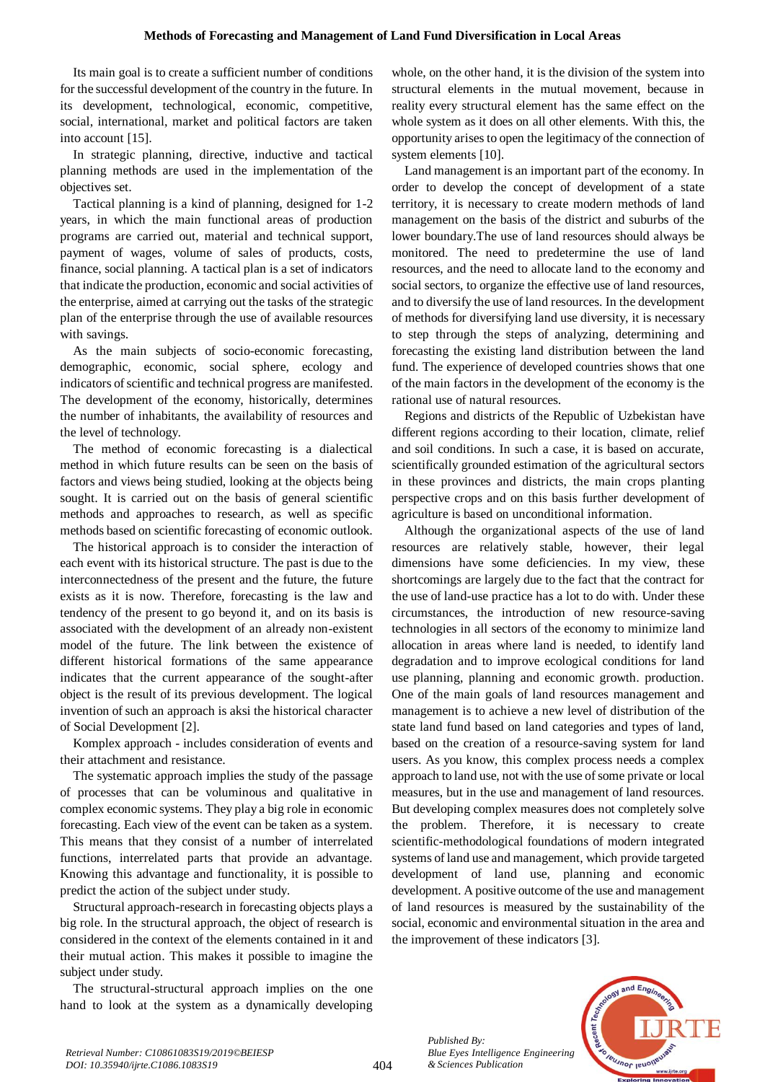Its main goal is to create a sufficient number of conditions for the successful development of the country in the future. In its development, technological, economic, competitive, social, international, market and political factors are taken into account [15].

In strategic planning, directive, inductive and tactical planning methods are used in the implementation of the objectives set.

Tactical planning is a kind of planning, designed for 1-2 years, in which the main functional areas of production programs are carried out, material and technical support, payment of wages, volume of sales of products, costs, finance, social planning. A tactical plan is a set of indicators that indicate the production, economic and social activities of the enterprise, aimed at carrying out the tasks of the strategic plan of the enterprise through the use of available resources with savings.

As the main subjects of socio-economic forecasting, demographic, economic, social sphere, ecology and indicators of scientific and technical progress are manifested. The development of the economy, historically, determines the number of inhabitants, the availability of resources and the level of technology.

The method of economic forecasting is a dialectical method in which future results can be seen on the basis of factors and views being studied, looking at the objects being sought. It is carried out on the basis of general scientific methods and approaches to research, as well as specific methods based on scientific forecasting of economic outlook.

The historical approach is to consider the interaction of each event with its historical structure. The past is due to the interconnectedness of the present and the future, the future exists as it is now. Therefore, forecasting is the law and tendency of the present to go beyond it, and on its basis is associated with the development of an already non-existent model of the future. The link between the existence of different historical formations of the same appearance indicates that the current appearance of the sought-after object is the result of its previous development. The logical invention of such an approach is aksi the historical character of Social Development [2].

Komplex approach - includes consideration of events and their attachment and resistance.

The systematic approach implies the study of the passage of processes that can be voluminous and qualitative in complex economic systems. They play a big role in economic forecasting. Each view of the event can be taken as a system. This means that they consist of a number of interrelated functions, interrelated parts that provide an advantage. Knowing this advantage and functionality, it is possible to predict the action of the subject under study.

Structural approach-research in forecasting objects plays a big role. In the structural approach, the object of research is considered in the context of the elements contained in it and their mutual action. This makes it possible to imagine the subject under study.

The structural-structural approach implies on the one hand to look at the system as a dynamically developing whole, on the other hand, it is the division of the system into structural elements in the mutual movement, because in reality every structural element has the same effect on the whole system as it does on all other elements. With this, the opportunity arises to open the legitimacy of the connection of system elements [10].

Land management is an important part of the economy. In order to develop the concept of development of a state territory, it is necessary to create modern methods of land management on the basis of the district and suburbs of the lower boundary.The use of land resources should always be monitored. The need to predetermine the use of land resources, and the need to allocate land to the economy and social sectors, to organize the effective use of land resources, and to diversify the use of land resources. In the development of methods for diversifying land use diversity, it is necessary to step through the steps of analyzing, determining and forecasting the existing land distribution between the land fund. The experience of developed countries shows that one of the main factors in the development of the economy is the rational use of natural resources.

Regions and districts of the Republic of Uzbekistan have different regions according to their location, climate, relief and soil conditions. In such a case, it is based on accurate, scientifically grounded estimation of the agricultural sectors in these provinces and districts, the main crops planting perspective crops and on this basis further development of agriculture is based on unconditional information.

Although the organizational aspects of the use of land resources are relatively stable, however, their legal dimensions have some deficiencies. In my view, these shortcomings are largely due to the fact that the contract for the use of land-use practice has a lot to do with. Under these circumstances, the introduction of new resource-saving technologies in all sectors of the economy to minimize land allocation in areas where land is needed, to identify land degradation and to improve ecological conditions for land use planning, planning and economic growth. production. One of the main goals of land resources management and management is to achieve a new level of distribution of the state land fund based on land categories and types of land, based on the creation of a resource-saving system for land users. As you know, this complex process needs a complex approach to land use, not with the use of some private or local measures, but in the use and management of land resources. But developing complex measures does not completely solve the problem. Therefore, it is necessary to create scientific-methodological foundations of modern integrated systems of land use and management, which provide targeted development of land use, planning and economic development. A positive outcome of the use and management of land resources is measured by the sustainability of the social, economic and environmental situation in the area and the improvement of these indicators [3].



*Published By: Blue Eyes Intelligence Engineering & Sciences Publication*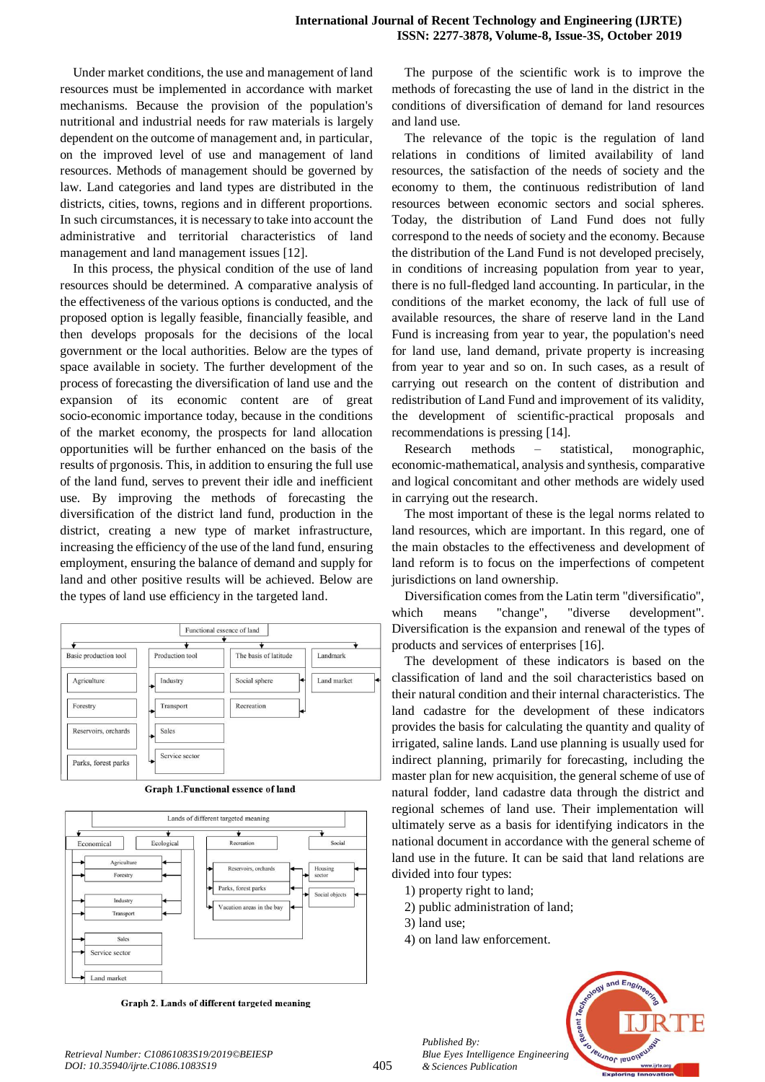Under market conditions, the use and management of land resources must be implemented in accordance with market mechanisms. Because the provision of the population's nutritional and industrial needs for raw materials is largely dependent on the outcome of management and, in particular, on the improved level of use and management of land resources. Methods of management should be governed by law. Land categories and land types are distributed in the districts, cities, towns, regions and in different proportions. In such circumstances, it is necessary to take into account the administrative and territorial characteristics of land management and land management issues [12].

In this process, the physical condition of the use of land resources should be determined. A comparative analysis of the effectiveness of the various options is conducted, and the proposed option is legally feasible, financially feasible, and then develops proposals for the decisions of the local government or the local authorities. Below are the types of space available in society. The further development of the process of forecasting the diversification of land use and the expansion of its economic content are of great socio-economic importance today, because in the conditions of the market economy, the prospects for land allocation opportunities will be further enhanced on the basis of the results of prgonosis. This, in addition to ensuring the full use of the land fund, serves to prevent their idle and inefficient use. By improving the methods of forecasting the diversification of the district land fund, production in the district, creating a new type of market infrastructure, increasing the efficiency of the use of the land fund, ensuring employment, ensuring the balance of demand and supply for land and other positive results will be achieved. Below are the types of land use efficiency in the targeted land.



Graph 1. Functional essence of land



Graph 2. Lands of different targeted meaning

The purpose of the scientific work is to improve the methods of forecasting the use of land in the district in the conditions of diversification of demand for land resources and land use.

The relevance of the topic is the regulation of land relations in conditions of limited availability of land resources, the satisfaction of the needs of society and the economy to them, the continuous redistribution of land resources between economic sectors and social spheres. Today, the distribution of Land Fund does not fully correspond to the needs of society and the economy. Because the distribution of the Land Fund is not developed precisely, in conditions of increasing population from year to year, there is no full-fledged land accounting. In particular, in the conditions of the market economy, the lack of full use of available resources, the share of reserve land in the Land Fund is increasing from year to year, the population's need for land use, land demand, private property is increasing from year to year and so on. In such cases, as a result of carrying out research on the content of distribution and redistribution of Land Fund and improvement of its validity, the development of scientific-practical proposals and recommendations is pressing [14].

Research methods – statistical, monographic, economic-mathematical, analysis and synthesis, comparative and logical concomitant and other methods are widely used in carrying out the research.

The most important of these is the legal norms related to land resources, which are important. In this regard, one of the main obstacles to the effectiveness and development of land reform is to focus on the imperfections of competent jurisdictions on land ownership.

Diversification comes from the Latin term "diversificatio", which means "change", "diverse development". Diversification is the expansion and renewal of the types of products and services of enterprises [16].

The development of these indicators is based on the classification of land and the soil characteristics based on their natural condition and their internal characteristics. The land cadastre for the development of these indicators provides the basis for calculating the quantity and quality of irrigated, saline lands. Land use planning is usually used for indirect planning, primarily for forecasting, including the master plan for new acquisition, the general scheme of use of natural fodder, land cadastre data through the district and regional schemes of land use. Their implementation will ultimately serve as a basis for identifying indicators in the national document in accordance with the general scheme of land use in the future. It can be said that land relations are divided into four types:

- 1) property right to land;
- 2) public administration of land;
- 3) land use;

*Published By:*

*& Sciences Publication* 

4) on land law enforcement.

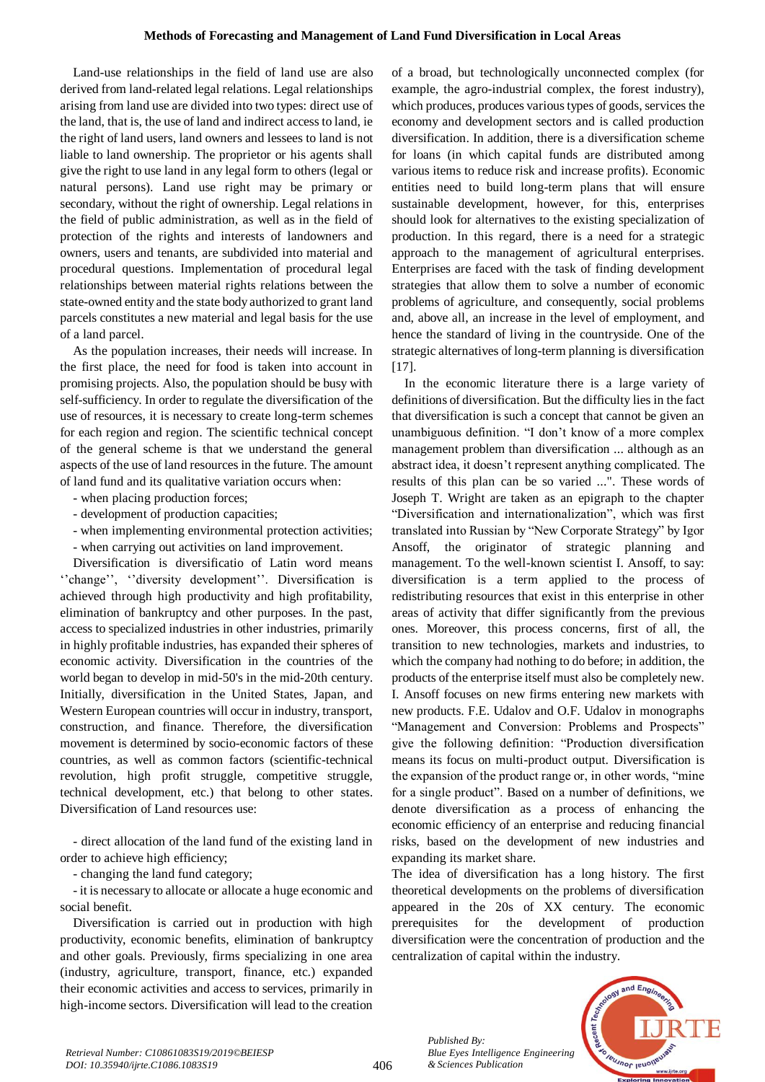Land-use relationships in the field of land use are also derived from land-related legal relations. Legal relationships arising from land use are divided into two types: direct use of the land, that is, the use of land and indirect access to land, ie the right of land users, land owners and lessees to land is not liable to land ownership. The proprietor or his agents shall give the right to use land in any legal form to others (legal or natural persons). Land use right may be primary or secondary, without the right of ownership. Legal relations in the field of public administration, as well as in the field of protection of the rights and interests of landowners and owners, users and tenants, are subdivided into material and procedural questions. Implementation of procedural legal relationships between material rights relations between the state-owned entity and the state body authorized to grant land parcels constitutes a new material and legal basis for the use of a land parcel.

As the population increases, their needs will increase. In the first place, the need for food is taken into account in promising projects. Also, the population should be busy with self-sufficiency. In order to regulate the diversification of the use of resources, it is necessary to create long-term schemes for each region and region. The scientific technical concept of the general scheme is that we understand the general aspects of the use of land resources in the future. The amount of land fund and its qualitative variation occurs when:

- when placing production forces;
- development of production capacities;
- when implementing environmental protection activities;
- when carrying out activities on land improvement.

Diversification is diversificatio of Latin word means "change", "diversity development". Diversification is achieved through high productivity and high profitability, elimination of bankruptcy and other purposes. In the past, access to specialized industries in other industries, primarily in highly profitable industries, has expanded their spheres of economic activity. Diversification in the countries of the world began to develop in mid-50's in the mid-20th century. Initially, diversification in the United States, Japan, and Western European countries will occur in industry, transport, construction, and finance. Therefore, the diversification movement is determined by socio-economic factors of these countries, as well as common factors (scientific-technical revolution, high profit struggle, competitive struggle, technical development, etc.) that belong to other states. Diversification of Land resources use:

- direct allocation of the land fund of the existing land in order to achieve high efficiency;

- changing the land fund category;

- it is necessary to allocate or allocate a huge economic and social benefit.

Diversification is carried out in production with high productivity, economic benefits, elimination of bankruptcy and other goals. Previously, firms specializing in one area (industry, agriculture, transport, finance, etc.) expanded their economic activities and access to services, primarily in high-income sectors. Diversification will lead to the creation

of a broad, but technologically unconnected complex (for example, the agro-industrial complex, the forest industry), which produces, produces various types of goods, services the economy and development sectors and is called production diversification. In addition, there is a diversification scheme for loans (in which capital funds are distributed among various items to reduce risk and increase profits). Economic entities need to build long-term plans that will ensure sustainable development, however, for this, enterprises should look for alternatives to the existing specialization of production. In this regard, there is a need for a strategic approach to the management of agricultural enterprises. Enterprises are faced with the task of finding development strategies that allow them to solve a number of economic problems of agriculture, and consequently, social problems and, above all, an increase in the level of employment, and hence the standard of living in the countryside. One of the strategic alternatives of long-term planning is diversification  $[17]$ .

In the economic literature there is a large variety of definitions of diversification. But the difficulty lies in the fact that diversification is such a concept that cannot be given an unambiguous definition. "I don't know of a more complex management problem than diversification ... although as an abstract idea, it doesn't represent anything complicated. The results of this plan can be so varied ...". These words of Joseph T. Wright are taken as an epigraph to the chapter "Diversification and internationalization", which was first translated into Russian by "New Corporate Strategy" by Igor Ansoff, the originator of strategic planning and management. To the well-known scientist I. Ansoff, to say: diversification is a term applied to the process of redistributing resources that exist in this enterprise in other areas of activity that differ significantly from the previous ones. Moreover, this process concerns, first of all, the transition to new technologies, markets and industries, to which the company had nothing to do before; in addition, the products of the enterprise itself must also be completely new. I. Ansoff focuses on new firms entering new markets with new products. F.E. Udalov and O.F. Udalov in monographs "Management and Conversion: Problems and Prospects" give the following definition: "Production diversification means its focus on multi-product output. Diversification is the expansion of the product range or, in other words, "mine for a single product". Based on a number of definitions, we denote diversification as a process of enhancing the economic efficiency of an enterprise and reducing financial risks, based on the development of new industries and expanding its market share.

The idea of diversification has a long history. The first theoretical developments on the problems of diversification appeared in the 20s of XX century. The economic prerequisites for the development of production diversification were the concentration of production and the centralization of capital within the industry.



*Retrieval Number: C10861083S19/2019©BEIESP DOI: 10.35940/ijrte.C1086.1083S19*

*Published By:*

*& Sciences Publication* 

*Blue Eyes Intelligence Engineering*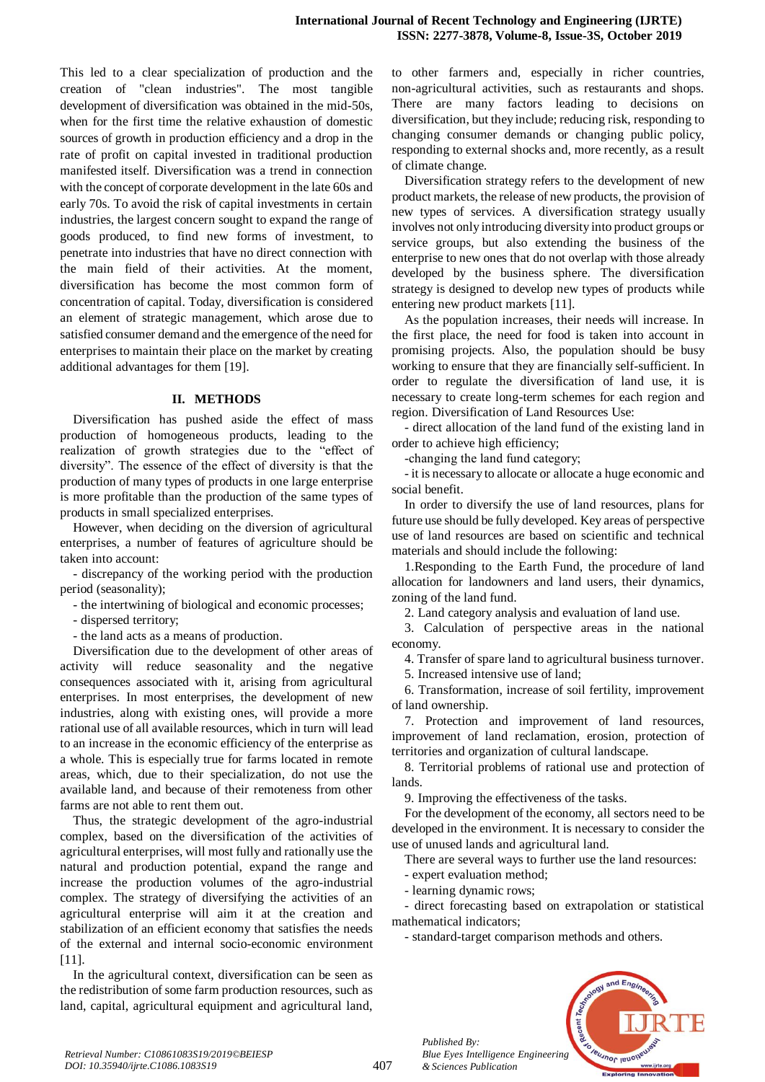This led to a clear specialization of production and the creation of "clean industries". The most tangible development of diversification was obtained in the mid-50s, when for the first time the relative exhaustion of domestic sources of growth in production efficiency and a drop in the rate of profit on capital invested in traditional production manifested itself. Diversification was a trend in connection with the concept of corporate development in the late 60s and early 70s. To avoid the risk of capital investments in certain industries, the largest concern sought to expand the range of goods produced, to find new forms of investment, to penetrate into industries that have no direct connection with the main field of their activities. At the moment, diversification has become the most common form of concentration of capital. Today, diversification is considered an element of strategic management, which arose due to satisfied consumer demand and the emergence of the need for enterprises to maintain their place on the market by creating additional advantages for them [19].

#### **II. METHODS**

Diversification has pushed aside the effect of mass production of homogeneous products, leading to the realization of growth strategies due to the "effect of diversity". The essence of the effect of diversity is that the production of many types of products in one large enterprise is more profitable than the production of the same types of products in small specialized enterprises.

However, when deciding on the diversion of agricultural enterprises, a number of features of agriculture should be taken into account:

- discrepancy of the working period with the production period (seasonality);

- the intertwining of biological and economic processes;

- dispersed territory;

- the land acts as a means of production.

Diversification due to the development of other areas of activity will reduce seasonality and the negative consequences associated with it, arising from agricultural enterprises. In most enterprises, the development of new industries, along with existing ones, will provide a more rational use of all available resources, which in turn will lead to an increase in the economic efficiency of the enterprise as a whole. This is especially true for farms located in remote areas, which, due to their specialization, do not use the available land, and because of their remoteness from other farms are not able to rent them out.

Thus, the strategic development of the agro-industrial complex, based on the diversification of the activities of agricultural enterprises, will most fully and rationally use the natural and production potential, expand the range and increase the production volumes of the agro-industrial complex. The strategy of diversifying the activities of an agricultural enterprise will aim it at the creation and stabilization of an efficient economy that satisfies the needs of the external and internal socio-economic environment [11].

In the agricultural context, diversification can be seen as the redistribution of some farm production resources, such as land, capital, agricultural equipment and agricultural land, to other farmers and, especially in richer countries, non-agricultural activities, such as restaurants and shops. There are many factors leading to decisions on diversification, but they include; reducing risk, responding to changing consumer demands or changing public policy, responding to external shocks and, more recently, as a result of climate change.

Diversification strategy refers to the development of new product markets, the release of new products, the provision of new types of services. A diversification strategy usually involves not only introducing diversity into product groups or service groups, but also extending the business of the enterprise to new ones that do not overlap with those already developed by the business sphere. The diversification strategy is designed to develop new types of products while entering new product markets [11].

As the population increases, their needs will increase. In the first place, the need for food is taken into account in promising projects. Also, the population should be busy working to ensure that they are financially self-sufficient. In order to regulate the diversification of land use, it is necessary to create long-term schemes for each region and region. Diversification of Land Resources Use:

- direct allocation of the land fund of the existing land in order to achieve high efficiency;

-сhanging the land fund category;

- it is necessary to allocate or allocate a huge economic and social benefit.

In order to diversify the use of land resources, plans for future use should be fully developed. Key areas of perspective use of land resources are based on scientific and technical materials and should include the following:

1.Responding to the Earth Fund, the procedure of land allocation for landowners and land users, their dynamics, zoning of the land fund.

2. Land category analysis and evaluation of land use.

3. Calculation of perspective areas in the national economy.

4. Transfer of spare land to agricultural business turnover.

5. Increased intensive use of land;

6. Transformation, increase of soil fertility, improvement of land ownership.

7. Protection and improvement of land resources, improvement of land reclamation, erosion, protection of territories and organization of cultural landscape.

8. Territorial problems of rational use and protection of lands.

9. Improving the effectiveness of the tasks.

For the development of the economy, all sectors need to be developed in the environment. It is necessary to consider the use of unused lands and agricultural land.

There are several ways to further use the land resources:

- expert evaluation method;

- learning dynamic rows;

*Published By:*

*& Sciences Publication* 

- direct forecasting based on extrapolation or statistical mathematical indicators;

- standard-target comparison methods and others.

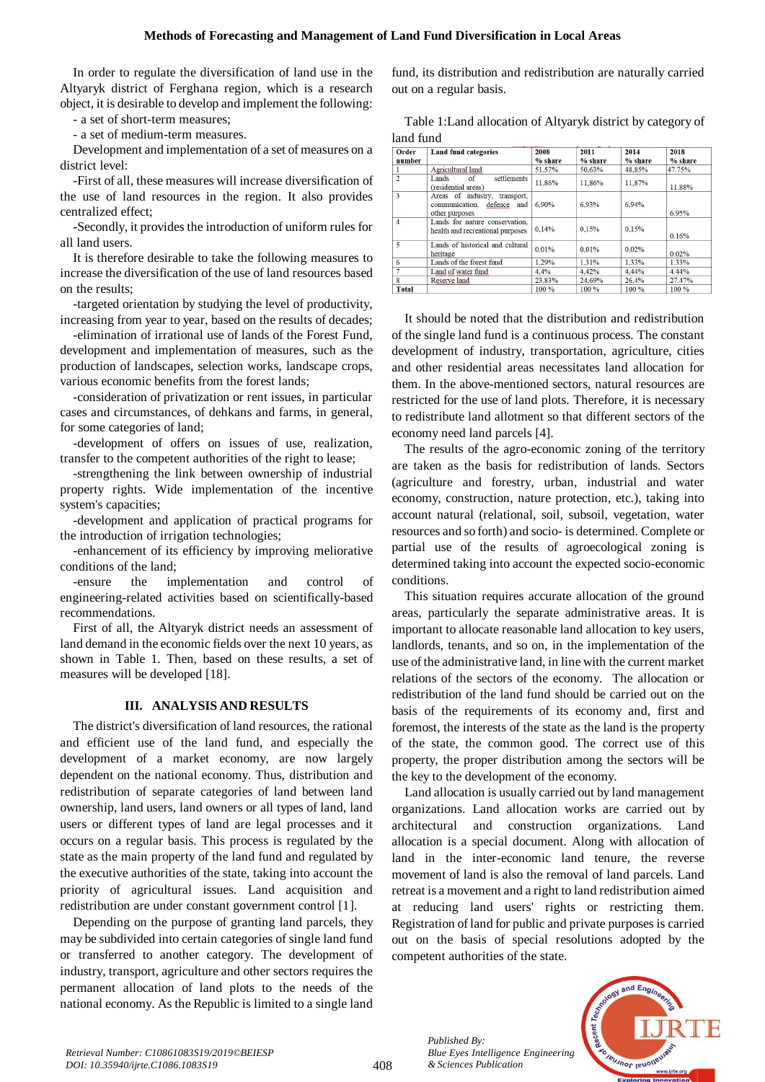## **Methods of Forecasting and Management of Land Fund Diversification in Local Areas**

In order to regulate the diversification of land use in the Altyaryk district of Ferghana region, which is a research object, it is desirable to develop and implement the following:

- a set of short-term measures;

- a set of medium-term measures.

Development and implementation of a set of measures on a district level:

-First of all, these measures will increase diversification of the use of land resources in the region. It also provides centralized effect;

-Secondly, it provides the introduction of uniform rules for all land users.

It is therefore desirable to take the following measures to increase the diversification of the use of land resources based on the results;

-targeted orientation by studying the level of productivity, increasing from year to year, based on the results of decades;

-elimination of irrational use of lands of the Forest Fund, development and implementation of measures, such as the production of landscapes, selection works, landscape crops, various economic benefits from the forest lands;

-consideration of privatization or rent issues, in particular cases and circumstances, of dehkans and farms, in general, for some categories of land;

-development of offers on issues of use, realization, transfer to the competent authorities of the right to lease;

-strengthening the link between ownership of industrial property rights. Wide implementation of the incentive system's capacities;

-development and application of practical programs for the introduction of irrigation technologies;

-enhancement of its efficiency by improving meliorative conditions of the land;

-ensure the implementation and control of engineering-related activities based on scientifically-based recommendations.

First of all, the Altyaryk district needs an assessment of land demand in the economic fields over the next 10 years, as shown in Table 1. Then, based on these results, a set of measures will be developed [18].

### **III. ANALYSIS AND RESULTS**

The district's diversification of land resources, the rational and efficient use of the land fund, and especially the development of a market economy, are now largely dependent on the national economy. Thus, distribution and redistribution of separate categories of land between land ownership, land users, land owners or all types of land, land users or different types of land are legal processes and it occurs on a regular basis. This process is regulated by the state as the main property of the land fund and regulated by the executive authorities of the state, taking into account the priority of agricultural issues. Land acquisition and redistribution are under constant government control [1].

Depending on the purpose of granting land parcels, they may be subdivided into certain categories of single land fund or transferred to another category. The development of industry, transport, agriculture and other sectors requires the permanent allocation of land plots to the needs of the national economy. As the Republic is limited to a single land fund, its distribution and redistribution are naturally carried out on a regular basis.

Table 1:Land allocation of Altyaryk district by category of land fund

| Order<br>number         | <b>Land fund categories</b>                                                            | 2008<br>% share | 2011<br>% share | 2014<br>% share | 2018<br>% share |
|-------------------------|----------------------------------------------------------------------------------------|-----------------|-----------------|-----------------|-----------------|
|                         | Agricultural land                                                                      | 51.57%          | 50.63%          | 48.85%          | 47.75%          |
| $\overline{2}$          | settlements<br>Lands<br>οf<br>(residential areas)                                      | 11.86%          | 11.86%          | 11.87%          | 11.88%          |
| $\overline{\mathbf{3}}$ | Areas of industry,<br>transport,<br>defence<br>communication.<br>and<br>other purposes | 6.90%           | 6.93%           | 6.94%           | 6.95%           |
| $\overline{4}$          | Lands for nature conservation.<br>health and recreational purposes                     | 0.14%           | 0.15%           | 0.15%           | 0.16%           |
| 5                       | Lands of historical and cultural<br>heritage                                           | 0.01%           | 0.01%           | 0.02%           | 0.02%           |
| 6                       | Lands of the forest fund                                                               | 1.29%           | 1.31%           | 1.33%           | 1.33%           |
|                         | Land of water fund                                                                     | 4.4%            | 4.42%           | 4.44%           | 4.44%           |
| 8                       | Reserve land                                                                           | 23.83%          | 24.69%          | 26.4%           | 27.47%          |
| <b>Total</b>            |                                                                                        | 100 %           | 100 %           | 100 %           | 100 %           |

It should be noted that the distribution and redistribution of the single land fund is a continuous process. The constant development of industry, transportation, agriculture, cities and other residential areas necessitates land allocation for them. In the above-mentioned sectors, natural resources are restricted for the use of land plots. Therefore, it is necessary to redistribute land allotment so that different sectors of the economy need land parcels [4].

The results of the agro-economic zoning of the territory are taken as the basis for redistribution of lands. Sectors (agriculture and forestry, urban, industrial and water economy, construction, nature protection, etc.), taking into account natural (relational, soil, subsoil, vegetation, water resources and so forth) and socio- is determined. Complete or partial use of the results of agroecological zoning is determined taking into account the expected socio-economic conditions.

This situation requires accurate allocation of the ground areas, particularly the separate administrative areas. It is important to allocate reasonable land allocation to key users, landlords, tenants, and so on, in the implementation of the use of the administrative land, in line with the current market relations of the sectors of the economy. The allocation or redistribution of the land fund should be carried out on the basis of the requirements of its economy and, first and foremost, the interests of the state as the land is the property of the state, the common good. The correct use of this property, the proper distribution among the sectors will be the key to the development of the economy.

Land allocation is usually carried out by land management organizations. Land allocation works are carried out by architectural and construction organizations. Land allocation is a special document. Along with allocation of land in the inter-economic land tenure, the reverse movement of land is also the removal of land parcels. Land retreat is a movement and a right to land redistribution aimed at reducing land users' rights or restricting them. Registration of land for public and private purposes is carried out on the basis of special resolutions adopted by the competent authorities of the state.



*Retrieval Number: C10861083S19/2019©BEIESP DOI: 10.35940/ijrte.C1086.1083S19*

*Published By: Blue Eyes Intelligence Engineering & Sciences Publication*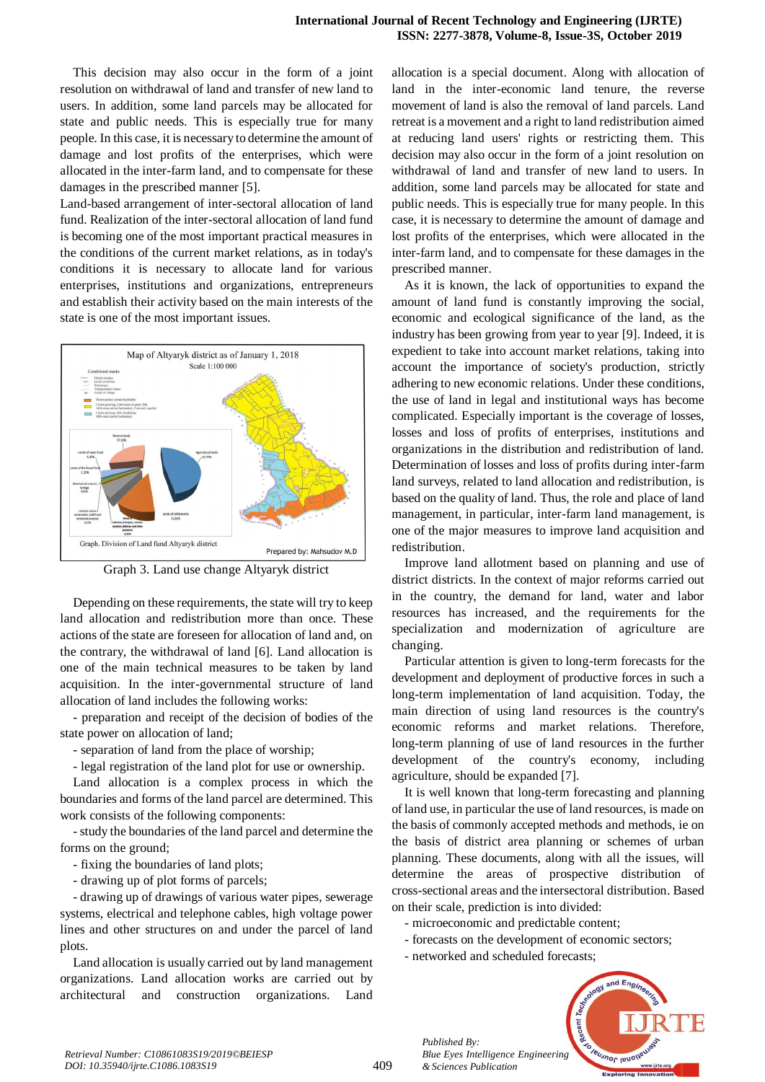This decision may also occur in the form of a joint resolution on withdrawal of land and transfer of new land to users. In addition, some land parcels may be allocated for state and public needs. This is especially true for many people. In this case, it is necessary to determine the amount of damage and lost profits of the enterprises, which were allocated in the inter-farm land, and to compensate for these damages in the prescribed manner [5].

Land-based arrangement of inter-sectoral allocation of land fund. Realization of the inter-sectoral allocation of land fund is becoming one of the most important practical measures in the conditions of the current market relations, as in today's conditions it is necessary to allocate land for various enterprises, institutions and organizations, entrepreneurs and establish their activity based on the main interests of the state is one of the most important issues.



Graph 3. Land use change Altyaryk district

Depending on these requirements, the state will try to keep land allocation and redistribution more than once. These actions of the state are foreseen for allocation of land and, on the contrary, the withdrawal of land [6]. Land allocation is one of the main technical measures to be taken by land acquisition. In the inter-governmental structure of land allocation of land includes the following works:

- preparation and receipt of the decision of bodies of the state power on allocation of land;

- separation of land from the place of worship;

- legal registration of the land plot for use or ownership.

Land allocation is a complex process in which the boundaries and forms of the land parcel are determined. This work consists of the following components:

-study the boundaries of the land parcel and determine the forms on the ground;

- fixing the boundaries of land plots;

- drawing up of plot forms of parcels;

- drawing up of drawings of various water pipes, sewerage systems, electrical and telephone cables, high voltage power lines and other structures on and under the parcel of land plots.

Land allocation is usually carried out by land management organizations. Land allocation works are carried out by architectural and construction organizations. Land allocation is a special document. Along with allocation of land in the inter-economic land tenure, the reverse movement of land is also the removal of land parcels. Land retreat is a movement and a right to land redistribution aimed at reducing land users' rights or restricting them. This decision may also occur in the form of a joint resolution on withdrawal of land and transfer of new land to users. In addition, some land parcels may be allocated for state and public needs. This is especially true for many people. In this case, it is necessary to determine the amount of damage and lost profits of the enterprises, which were allocated in the inter-farm land, and to compensate for these damages in the prescribed manner.

As it is known, the lack of opportunities to expand the amount of land fund is constantly improving the social, economic and ecological significance of the land, as the industry has been growing from year to year [9]. Indeed, it is expedient to take into account market relations, taking into account the importance of society's production, strictly adhering to new economic relations. Under these conditions, the use of land in legal and institutional ways has become complicated. Especially important is the coverage of losses, losses and loss of profits of enterprises, institutions and organizations in the distribution and redistribution of land. Determination of losses and loss of profits during inter-farm land surveys, related to land allocation and redistribution, is based on the quality of land. Thus, the role and place of land management, in particular, inter-farm land management, is one of the major measures to improve land acquisition and redistribution.

Improve land allotment based on planning and use of district districts. In the context of major reforms carried out in the country, the demand for land, water and labor resources has increased, and the requirements for the specialization and modernization of agriculture are changing.

Particular attention is given to long-term forecasts for the development and deployment of productive forces in such a long-term implementation of land acquisition. Today, the main direction of using land resources is the country's economic reforms and market relations. Therefore, long-term planning of use of land resources in the further development of the country's economy, including agriculture, should be expanded [7].

It is well known that long-term forecasting and planning of land use, in particular the use of land resources, is made on the basis of commonly accepted methods and methods, ie on the basis of district area planning or schemes of urban planning. These documents, along with all the issues, will determine the areas of prospective distribution of cross-sectional areas and the intersectoral distribution. Based on their scale, prediction is into divided:

- microeconomic and predictable content;
- forecasts on the development of economic sectors;
- networked and scheduled forecasts;

*Published By:*

*& Sciences Publication* 



409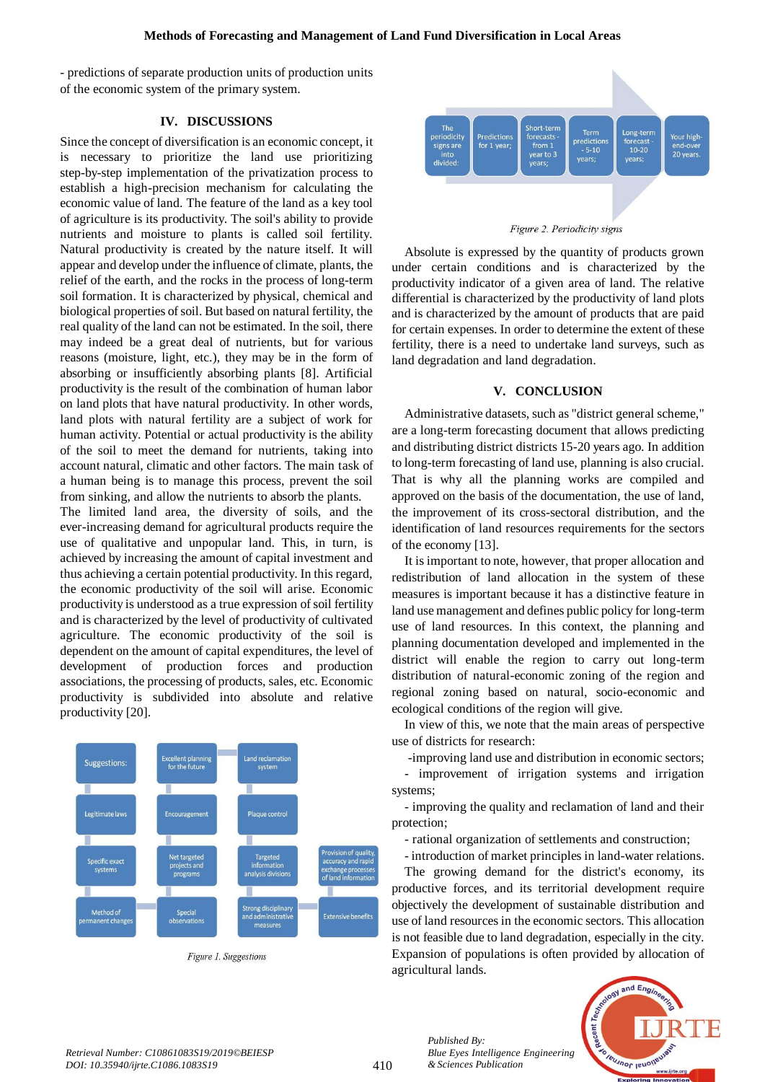- predictions of separate production units of production units of the economic system of the primary system.

## **IV. DISCUSSIONS**

Since the concept of diversification is an economic concept, it is necessary to prioritize the land use prioritizing step-by-step implementation of the privatization process to establish a high-precision mechanism for calculating the economic value of land. The feature of the land as a key tool of agriculture is its productivity. The soil's ability to provide nutrients and moisture to plants is called soil fertility. Natural productivity is created by the nature itself. It will appear and develop under the influence of climate, plants, the relief of the earth, and the rocks in the process of long-term soil formation. It is characterized by physical, chemical and biological properties of soil. But based on natural fertility, the real quality of the land can not be estimated. In the soil, there may indeed be a great deal of nutrients, but for various reasons (moisture, light, etc.), they may be in the form of absorbing or insufficiently absorbing plants [8]. Artificial productivity is the result of the combination of human labor on land plots that have natural productivity. In other words, land plots with natural fertility are a subject of work for human activity. Potential or actual productivity is the ability of the soil to meet the demand for nutrients, taking into account natural, climatic and other factors. The main task of a human being is to manage this process, prevent the soil from sinking, and allow the nutrients to absorb the plants.

The limited land area, the diversity of soils, and the ever-increasing demand for agricultural products require the use of qualitative and unpopular land. This, in turn, is achieved by increasing the amount of capital investment and thus achieving a certain potential productivity. In this regard, the economic productivity of the soil will arise. Economic productivity is understood as a true expression of soil fertility and is characterized by the level of productivity of cultivated agriculture. The economic productivity of the soil is dependent on the amount of capital expenditures, the level of development of production forces and production associations, the processing of products, sales, etc. Economic productivity is subdivided into absolute and relative productivity [20].



Figure 1. Suggestions



Figure 2. Periodicity signs

Absolute is expressed by the quantity of products grown under certain conditions and is characterized by the productivity indicator of a given area of land. The relative differential is characterized by the productivity of land plots and is characterized by the amount of products that are paid for certain expenses. In order to determine the extent of these fertility, there is a need to undertake land surveys, such as land degradation and land degradation.

### **V. CONCLUSION**

Administrative datasets, such as "district general scheme," are a long-term forecasting document that allows predicting and distributing district districts 15-20 years ago. In addition to long-term forecasting of land use, planning is also crucial. That is why all the planning works are compiled and approved on the basis of the documentation, the use of land, the improvement of its cross-sectoral distribution, and the identification of land resources requirements for the sectors of the economy [13].

It is important to note, however, that proper allocation and redistribution of land allocation in the system of these measures is important because it has a distinctive feature in land use management and defines public policy for long-term use of land resources. In this context, the planning and planning documentation developed and implemented in the district will enable the region to carry out long-term distribution of natural-economic zoning of the region and regional zoning based on natural, socio-economic and ecological conditions of the region will give.

In view of this, we note that the main areas of perspective use of districts for research:

-improving land use and distribution in economic sectors; - improvement of irrigation systems and irrigation systems;

- improving the quality and reclamation of land and their protection;

- rational organization of settlements and construction;

- introduction of market principles in land-water relations.

The growing demand for the district's economy, its productive forces, and its territorial development require objectively the development of sustainable distribution and use of land resources in the economic sectors. This allocation is not feasible due to land degradation, especially in the city. Expansion of populations is often provided by allocation of agricultural lands.



*Published By:*

*& Sciences Publication* 

*Blue Eyes Intelligence Engineering*